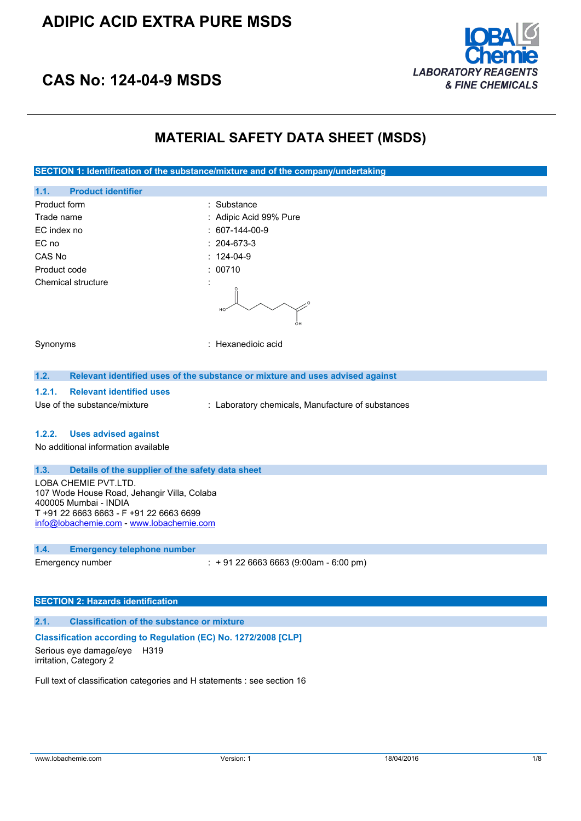## **ADIPIC ACID EXTRA PURE MSDS**



# **CAS No: 124-04-9 MSDS**

## **MATERIAL SAFETY DATA SHEET (MSDS)**

**SECTION 1: Identification of the substance/mixture and of the company/undertaking**

| 1.1.<br><b>Product identifier</b> |                           |
|-----------------------------------|---------------------------|
| Product form                      | : Substance               |
| Trade name                        | : Adipic Acid 99% Pure    |
| EC index no                       | $: 607-144-00-9$          |
| EC no                             | $: 204-673-3$             |
| CAS No                            | $: 124-04-9$              |
| Product code                      | : 00710                   |
| Chemical structure                | ٠<br>$\cdot$<br>HO.<br>OH |
| Synonyms                          | : Hexanedioic acid        |

#### **1.2. Relevant identified uses of the substance or mixture and uses advised against**

#### **1.2.1. Relevant identified uses**

Use of the substance/mixture : Laboratory chemicals, Manufacture of substances

### **1.2.2. Uses advised against**

No additional information available

#### **1.3. Details of the supplier of the safety data sheet**

LOBA CHEMIE PVT.LTD. 107 Wode House Road, Jehangir Villa, Colaba 400005 Mumbai - INDIA T +91 22 6663 6663 - F +91 22 6663 6699 [info@lobachemie.com](mailto:info@lobachemie.com) - <www.lobachemie.com>

#### **1.4. Emergency telephone number**

Emergency number : + 91 22 6663 6663 (9:00am - 6:00 pm)

## **SECTION 2: Hazards identification**

#### **2.1. Classification of the substance or mixture**

### **Classification according to Regulation (EC) No. 1272/2008 [CLP]**

Serious eye damage/eye H319 irritation, Category 2

Full text of classification categories and H statements : see section 16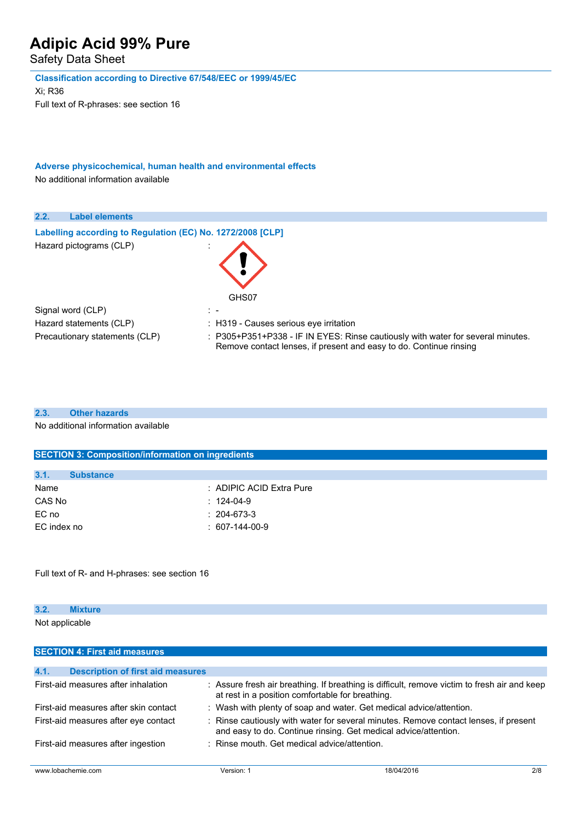Safety Data Sheet

**Classification according to Directive 67/548/EEC or 1999/45/EC**

Xi; R36 Full text of R-phrases: see section 16

**Adverse physicochemical, human health and environmental effects**

No additional information available

| 2.2.<br><b>Label elements</b>                              |                                                                                                                                                       |
|------------------------------------------------------------|-------------------------------------------------------------------------------------------------------------------------------------------------------|
|                                                            |                                                                                                                                                       |
| Labelling according to Regulation (EC) No. 1272/2008 [CLP] |                                                                                                                                                       |
| Hazard pictograms (CLP)                                    | GHS07                                                                                                                                                 |
| Signal word (CLP)                                          | $\mathbb{R}$                                                                                                                                          |
| Hazard statements (CLP)                                    | : H319 - Causes serious eye irritation                                                                                                                |
| Precautionary statements (CLP)                             | : P305+P351+P338 - IF IN EYES: Rinse cautiously with water for several minutes.<br>Remove contact lenses, if present and easy to do. Continue rinsing |

## **2.3. Other hazards**

No additional information available

| <b>SECTION 3: Composition/information on ingredients</b> |  |  |
|----------------------------------------------------------|--|--|
|                                                          |  |  |
|                                                          |  |  |
| : ADIPIC ACID Extra Pure                                 |  |  |
| $: 124-04-9$                                             |  |  |
| $: 204-673-3$                                            |  |  |
| $: 607-144-00-9$                                         |  |  |
|                                                          |  |  |

Full text of R- and H-phrases: see section 16

## **3.2. Mixture**

Not applicable

| <b>SECTION 4: First aid measures</b>                                                                                                                                                            |            |                                                                                                                                                  |     |
|-------------------------------------------------------------------------------------------------------------------------------------------------------------------------------------------------|------------|--------------------------------------------------------------------------------------------------------------------------------------------------|-----|
|                                                                                                                                                                                                 |            |                                                                                                                                                  |     |
| 4.1.<br><b>Description of first aid measures</b>                                                                                                                                                |            |                                                                                                                                                  |     |
| First-aid measures after inhalation                                                                                                                                                             |            | : Assure fresh air breathing. If breathing is difficult, remove victim to fresh air and keep<br>at rest in a position comfortable for breathing. |     |
| First-aid measures after skin contact                                                                                                                                                           |            | : Wash with plenty of soap and water. Get medical advice/attention.                                                                              |     |
| : Rinse cautiously with water for several minutes. Remove contact lenses, if present<br>First-aid measures after eye contact<br>and easy to do. Continue rinsing. Get medical advice/attention. |            |                                                                                                                                                  |     |
| First-aid measures after ingestion                                                                                                                                                              |            | : Rinse mouth. Get medical advice/attention.                                                                                                     |     |
| www.lobachemie.com                                                                                                                                                                              | Version: 1 | 18/04/2016                                                                                                                                       | 2/8 |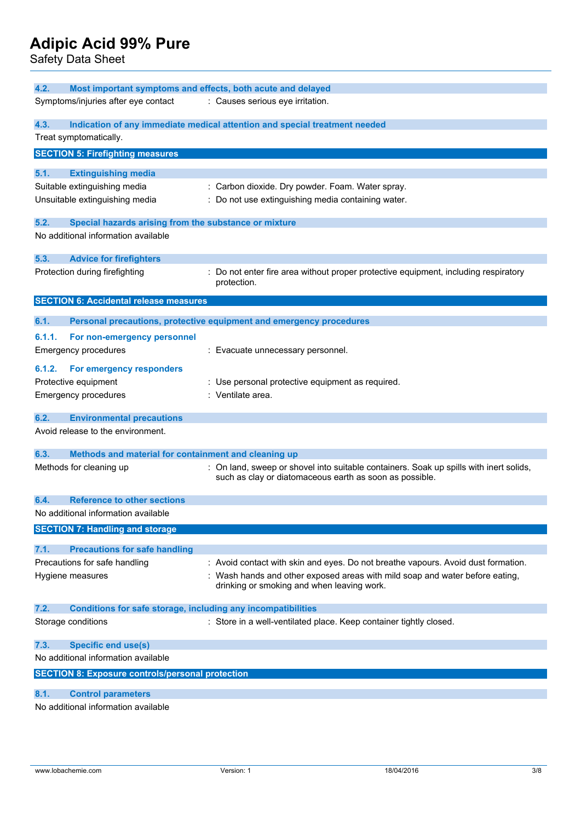Safety Data Sheet

| 4.2.                                                                        | Most important symptoms and effects, both acute and delayed                                                                                       |
|-----------------------------------------------------------------------------|---------------------------------------------------------------------------------------------------------------------------------------------------|
| Symptoms/injuries after eye contact                                         | : Causes serious eye irritation.                                                                                                                  |
| 4.3.<br>Treat symptomatically.                                              | Indication of any immediate medical attention and special treatment needed                                                                        |
| <b>SECTION 5: Firefighting measures</b>                                     |                                                                                                                                                   |
| 5.1.<br><b>Extinguishing media</b>                                          |                                                                                                                                                   |
| Suitable extinguishing media                                                | : Carbon dioxide. Dry powder. Foam. Water spray.                                                                                                  |
| Unsuitable extinguishing media                                              | : Do not use extinguishing media containing water.                                                                                                |
| 5.2.<br>Special hazards arising from the substance or mixture               |                                                                                                                                                   |
| No additional information available                                         |                                                                                                                                                   |
| 5.3.<br><b>Advice for firefighters</b>                                      |                                                                                                                                                   |
| Protection during firefighting                                              | : Do not enter fire area without proper protective equipment, including respiratory<br>protection.                                                |
| <b>SECTION 6: Accidental release measures</b>                               |                                                                                                                                                   |
| 6.1.                                                                        | Personal precautions, protective equipment and emergency procedures                                                                               |
| 6.1.1.<br>For non-emergency personnel                                       |                                                                                                                                                   |
| <b>Emergency procedures</b>                                                 | : Evacuate unnecessary personnel.                                                                                                                 |
| 6.1.2.<br>For emergency responders                                          |                                                                                                                                                   |
| Protective equipment                                                        | : Use personal protective equipment as required.                                                                                                  |
| <b>Emergency procedures</b>                                                 | : Ventilate area.                                                                                                                                 |
| <b>Environmental precautions</b><br>6.2.                                    |                                                                                                                                                   |
| Avoid release to the environment.                                           |                                                                                                                                                   |
| 6.3.<br>Methods and material for containment and cleaning up                |                                                                                                                                                   |
| Methods for cleaning up                                                     | : On land, sweep or shovel into suitable containers. Soak up spills with inert solids,<br>such as clay or diatomaceous earth as soon as possible. |
| <b>Reference to other sections</b><br>6.4.                                  |                                                                                                                                                   |
| No additional information available                                         |                                                                                                                                                   |
| <b>SECTION 7: Handling and storage</b>                                      |                                                                                                                                                   |
| 7.1.<br><b>Precautions for safe handling</b>                                |                                                                                                                                                   |
| Precautions for safe handling                                               | : Avoid contact with skin and eyes. Do not breathe vapours. Avoid dust formation.                                                                 |
| Hygiene measures                                                            | : Wash hands and other exposed areas with mild soap and water before eating,<br>drinking or smoking and when leaving work.                        |
| 7.2.<br><b>Conditions for safe storage, including any incompatibilities</b> |                                                                                                                                                   |
| Storage conditions                                                          | : Store in a well-ventilated place. Keep container tightly closed.                                                                                |
| <b>Specific end use(s)</b><br>7.3.                                          |                                                                                                                                                   |
| No additional information available                                         |                                                                                                                                                   |
| <b>SECTION 8: Exposure controls/personal protection</b>                     |                                                                                                                                                   |
| 8.1.<br><b>Control parameters</b>                                           |                                                                                                                                                   |
| No additional information available                                         |                                                                                                                                                   |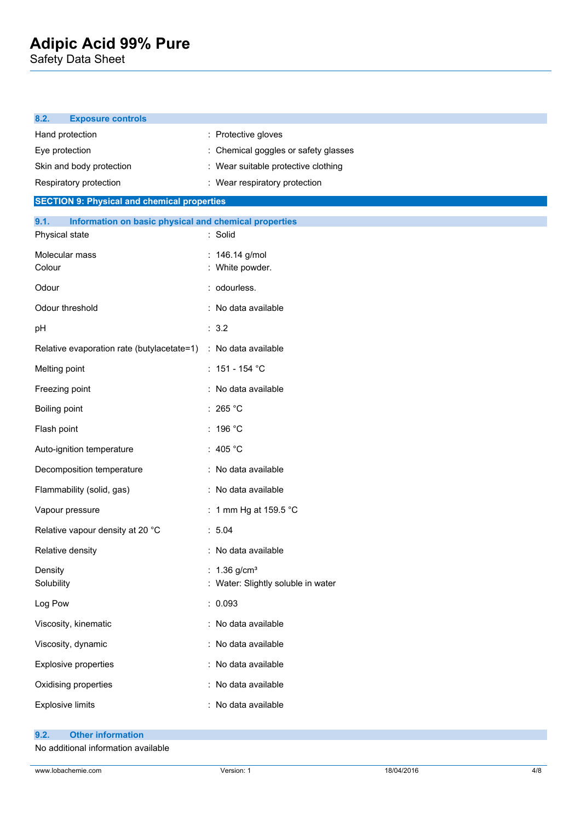Safety Data Sheet

| <b>Exposure controls</b><br>8.2.                              |                                    |
|---------------------------------------------------------------|------------------------------------|
| Hand protection                                               | : Protective gloves                |
| Eye protection                                                | Chemical goggles or safety glasses |
| Skin and body protection                                      | Wear suitable protective clothing  |
| Respiratory protection                                        | : Wear respiratory protection      |
| <b>SECTION 9: Physical and chemical properties</b>            |                                    |
| 9.1.<br>Information on basic physical and chemical properties |                                    |
| Physical state                                                | : Solid                            |
| Molecular mass                                                | : 146.14 g/mol                     |
| Colour                                                        | : White powder.                    |
| Odour                                                         | : odourless.                       |
| Odour threshold                                               | : No data available                |
| pH                                                            | : 3.2                              |
| Relative evaporation rate (butylacetate=1)                    | : No data available                |
| Melting point                                                 | : $151 - 154$ °C                   |
| Freezing point                                                | : No data available                |
| Boiling point                                                 | : 265 $^{\circ}$ C                 |
| Flash point                                                   | : 196 °C                           |
| Auto-ignition temperature                                     | : 405 $^{\circ}$ C                 |
| Decomposition temperature                                     | : No data available                |
| Flammability (solid, gas)                                     | : No data available                |
| Vapour pressure                                               | : 1 mm Hg at 159.5 $^{\circ}$ C    |
| Relative vapour density at 20 °C                              | : 5.04                             |
| Relative density                                              | : No data available                |
| Density                                                       | : $1.36$ g/cm <sup>3</sup>         |
| Solubility                                                    | : Water: Slightly soluble in water |
| Log Pow                                                       | : 0.093                            |
| Viscosity, kinematic                                          | : No data available                |
| Viscosity, dynamic                                            | : No data available                |
| Explosive properties                                          | : No data available                |
| Oxidising properties                                          | : No data available                |
| <b>Explosive limits</b>                                       | No data available                  |
|                                                               |                                    |

## **9.2. Other information**

No additional information available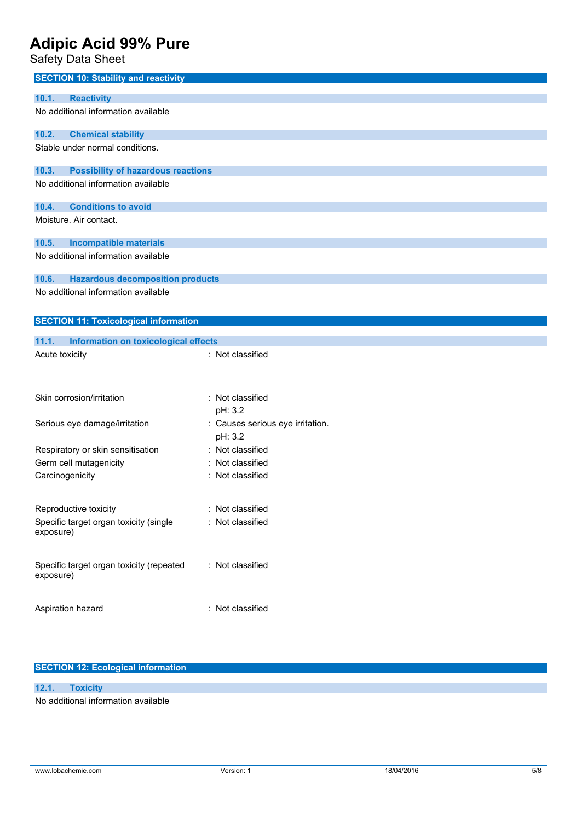Safety Data Sheet

| <b>SECTION 10: Stability and reactivity</b>           |                                             |
|-------------------------------------------------------|---------------------------------------------|
| <b>Reactivity</b><br>10.1.                            |                                             |
| No additional information available                   |                                             |
| 10.2.<br><b>Chemical stability</b>                    |                                             |
| Stable under normal conditions.                       |                                             |
| <b>Possibility of hazardous reactions</b><br>10.3.    |                                             |
| No additional information available                   |                                             |
| <b>Conditions to avoid</b><br>10.4.                   |                                             |
| Moisture. Air contact.                                |                                             |
| <b>Incompatible materials</b><br>10.5.                |                                             |
| No additional information available                   |                                             |
| 10.6.<br><b>Hazardous decomposition products</b>      |                                             |
| No additional information available                   |                                             |
| <b>SECTION 11: Toxicological information</b>          |                                             |
| 11.1.<br>Information on toxicological effects         |                                             |
| Acute toxicity                                        | : Not classified                            |
| Skin corrosion/irritation                             | : Not classified<br>pH: 3.2                 |
| Serious eye damage/irritation                         | : Causes serious eye irritation.<br>pH: 3.2 |
| Respiratory or skin sensitisation                     | : Not classified                            |
| Germ cell mutagenicity                                | : Not classified                            |
| Carcinogenicity                                       | Not classified                              |
| Reproductive toxicity                                 | Not classified                              |
| Specific target organ toxicity (single<br>exposure)   | : Not classified                            |
| Specific target organ toxicity (repeated<br>exposure) | : Not classified                            |
| Aspiration hazard                                     | : Not classified                            |

## **SECTION 12: Ecological information**

## **12.1. Toxicity**

No additional information available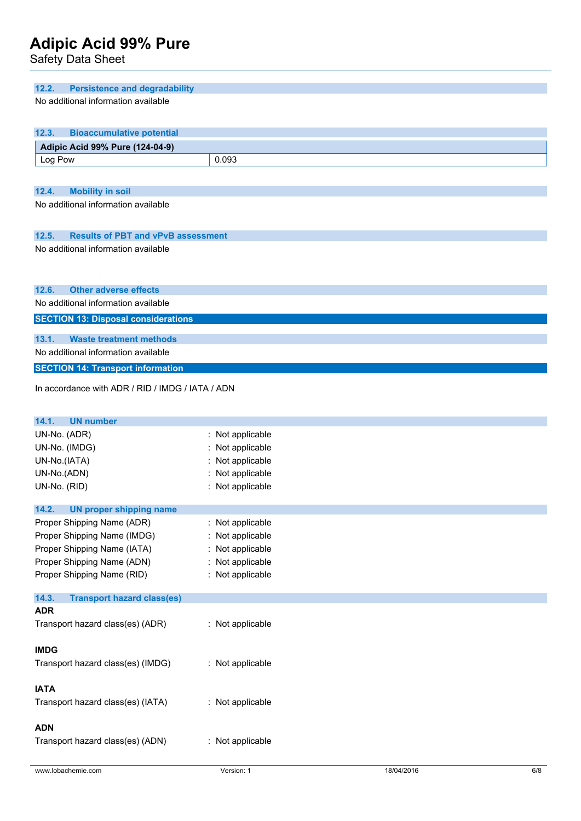Safety Data Sheet

| 12.2.<br><b>Persistence and degradability</b>                                |                  |
|------------------------------------------------------------------------------|------------------|
| No additional information available                                          |                  |
| <b>Bioaccumulative potential</b><br>12.3.                                    |                  |
| Adipic Acid 99% Pure (124-04-9)                                              |                  |
| Log Pow                                                                      | 0.093            |
|                                                                              |                  |
| 12.4.<br><b>Mobility in soil</b>                                             |                  |
| No additional information available                                          |                  |
|                                                                              |                  |
|                                                                              |                  |
| 12.5.<br><b>Results of PBT and vPvB assessment</b>                           |                  |
| No additional information available                                          |                  |
|                                                                              |                  |
|                                                                              |                  |
| <b>Other adverse effects</b><br>12.6.<br>No additional information available |                  |
|                                                                              |                  |
| <b>SECTION 13: Disposal considerations</b>                                   |                  |
| 13.1.<br><b>Waste treatment methods</b>                                      |                  |
| No additional information available                                          |                  |
| <b>SECTION 14: Transport information</b>                                     |                  |
|                                                                              |                  |
| In accordance with ADR / RID / IMDG / IATA / ADN                             |                  |
|                                                                              |                  |
| 14.1.<br><b>UN number</b>                                                    |                  |
| UN-No. (ADR)                                                                 | Not applicable   |
| UN-No. (IMDG)                                                                | Not applicable   |
| UN-No.(IATA)                                                                 | Not applicable   |
| UN-No.(ADN)                                                                  | : Not applicable |
| UN-No. (RID)                                                                 | : Not applicable |
| 14.2.<br>UN proper shipping name                                             |                  |
| Proper Shipping Name (ADR)                                                   | : Not applicable |
| Proper Shipping Name (IMDG)                                                  | Not applicable   |
| Proper Shipping Name (IATA)                                                  | Not applicable   |
| Proper Shipping Name (ADN)                                                   | Not applicable   |
| Proper Shipping Name (RID)                                                   | : Not applicable |
| 14.3.<br><b>Transport hazard class(es)</b>                                   |                  |
| <b>ADR</b>                                                                   |                  |
| Transport hazard class(es) (ADR)                                             | : Not applicable |
|                                                                              |                  |
| <b>IMDG</b>                                                                  |                  |
| Transport hazard class(es) (IMDG)                                            | : Not applicable |
|                                                                              |                  |
| <b>IATA</b>                                                                  |                  |
| Transport hazard class(es) (IATA)                                            | : Not applicable |
|                                                                              |                  |
| <b>ADN</b>                                                                   |                  |
| Transport hazard class(es) (ADN)                                             | : Not applicable |
|                                                                              |                  |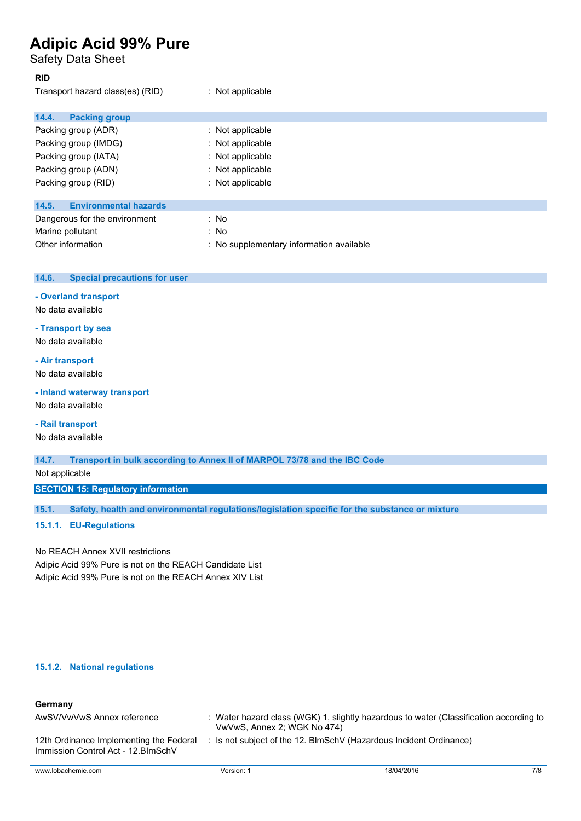Safety Data Sheet

| <b>RID</b>                            |                                          |
|---------------------------------------|------------------------------------------|
| Transport hazard class(es) (RID)      | $:$ Not applicable                       |
| 14.4.<br><b>Packing group</b>         |                                          |
| Packing group (ADR)                   | $\therefore$ Not applicable              |
| Packing group (IMDG)                  | : Not applicable                         |
| Packing group (IATA)                  | : Not applicable                         |
| Packing group (ADN)                   | : Not applicable                         |
| Packing group (RID)                   | : Not applicable                         |
| <b>Environmental hazards</b><br>14.5. |                                          |
| Dangerous for the environment         | : No                                     |
| Marine pollutant                      | : No                                     |
| Other information                     | : No supplementary information available |

### **14.6. Special precautions for user**

### **- Overland transport**

No data available

## **- Transport by sea**

No data available

## **- Air transport**

No data available

## **- Inland waterway transport**

No data available

## **- Rail transport**

No data available

### **14.7. Transport in bulk according to Annex II of MARPOL 73/78 and the IBC Code**

Not applicable

## **SECTION 15: Regulatory information**

**15.1. Safety, health and environmental regulations/legislation specific for the substance or mixture**

### **15.1.1. EU-Regulations**

No REACH Annex XVII restrictions Adipic Acid 99% Pure is not on the REACH Candidate List Adipic Acid 99% Pure is not on the REACH Annex XIV List

### **15.1.2. National regulations**

## **Germany**

| AwSV/VwVwS Annex reference                                                     | VwVwS, Annex 2; WGK No 474)                                      | : Water hazard class (WGK) 1, slightly hazardous to water (Classification according to |     |
|--------------------------------------------------------------------------------|------------------------------------------------------------------|----------------------------------------------------------------------------------------|-----|
| 12th Ordinance Implementing the Federal<br>Immission Control Act - 12. BlmSchV | Is not subject of the 12. BlmSchV (Hazardous Incident Ordinance) |                                                                                        |     |
| www.lobachemie.com                                                             | Version: 1                                                       | 18/04/2016                                                                             | 7/8 |